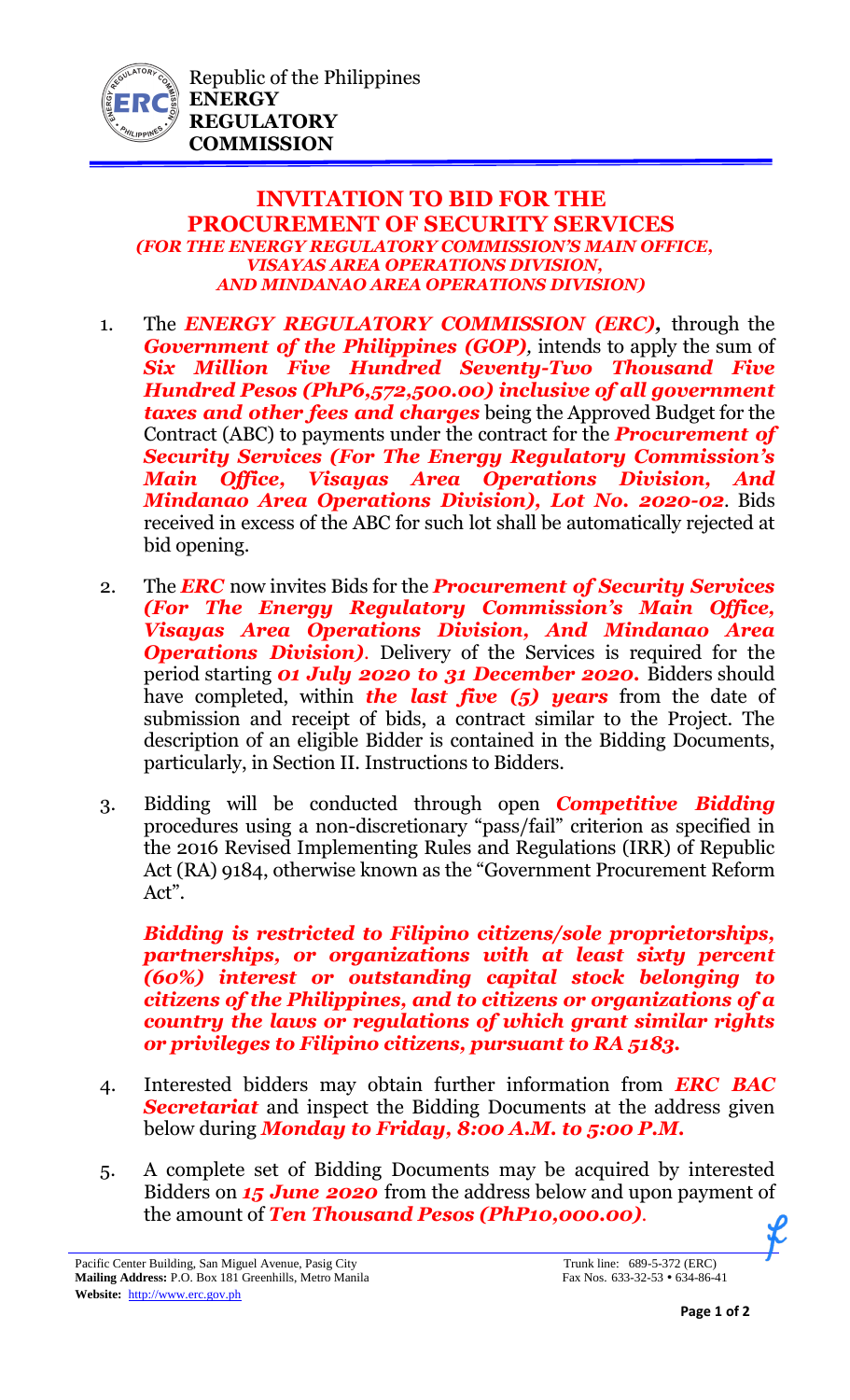

## **INVITATION TO BID FOR THE PROCUREMENT OF SECURITY SERVICES** *(FOR THE ENERGY REGULATORY COMMISSION'S MAIN OFFICE, VISAYAS AREA OPERATIONS DIVISION, AND MINDANAO AREA OPERATIONS DIVISION)*

- 1. The *ENERGY REGULATORY COMMISSION (ERC),* through the *Government of the Philippines (GOP)*, intends to apply the sum of *Six Million Five Hundred Seventy-Two Thousand Five Hundred Pesos (PhP6,572,500.00) inclusive of all government taxes and other fees and charges* being the Approved Budget for the Contract (ABC) to payments under the contract for the *Procurement of Security Services (For The Energy Regulatory Commission's Main Office, Visayas Area Operations Division, And Mindanao Area Operations Division), Lot No. 2020-02*. Bids received in excess of the ABC for such lot shall be automatically rejected at bid opening.
- 2. The *ERC* now invites Bids for the *Procurement of Security Services (For The Energy Regulatory Commission's Main Office, Visayas Area Operations Division, And Mindanao Area*  **Operations Division)**. Delivery of the Services is required for the period starting *01 July 2020 to 31 December 2020.* Bidders should have completed, within *the last five (5) years* from the date of submission and receipt of bids, a contract similar to the Project. The description of an eligible Bidder is contained in the Bidding Documents, particularly, in Section II. Instructions to Bidders.
- 3. Bidding will be conducted through open *Competitive Bidding* procedures using a non-discretionary "pass/fail" criterion as specified in the 2016 Revised Implementing Rules and Regulations (IRR) of Republic Act (RA) 9184, otherwise known as the "Government Procurement Reform Act".

*Bidding is restricted to Filipino citizens/sole proprietorships, partnerships, or organizations with at least sixty percent (60%) interest or outstanding capital stock belonging to citizens of the Philippines, and to citizens or organizations of a country the laws or regulations of which grant similar rights or privileges to Filipino citizens, pursuant to RA 5183.* 

- 4. Interested bidders may obtain further information from *ERC BAC Secretariat* and inspect the Bidding Documents at the address given below during *Monday to Friday, 8:00 A.M. to 5:00 P.M.*
- 5. A complete set of Bidding Documents may be acquired by interested Bidders on *15 June 2020* from the address below and upon payment of the amount of *Ten Thousand Pesos (PhP10,000.00).*